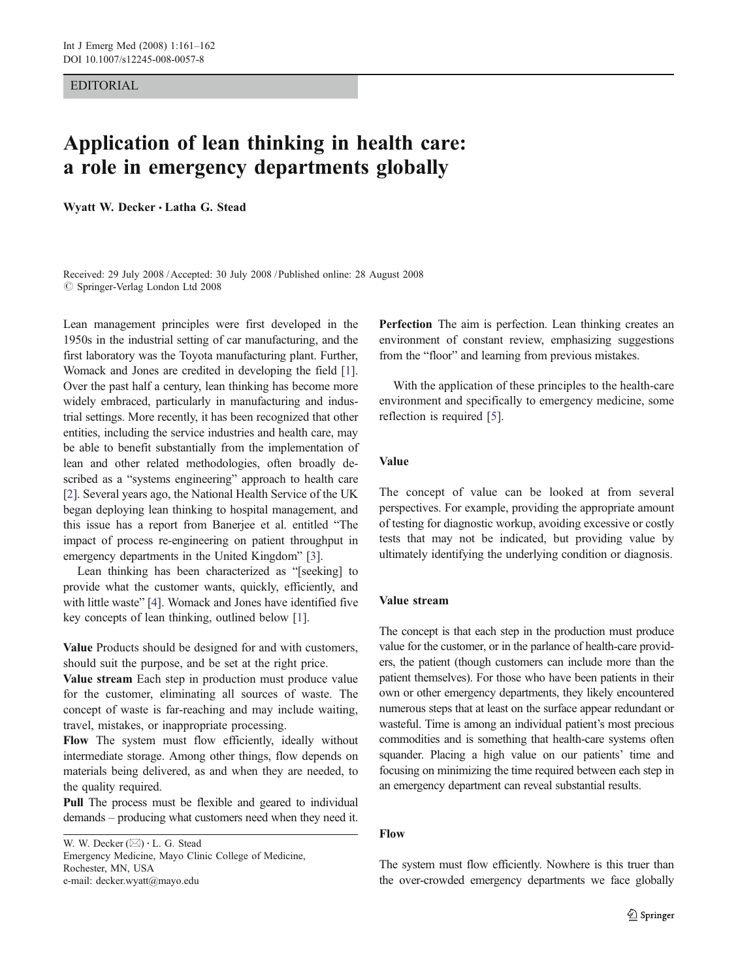# EDITORIAL

# Application of lean thinking in health care: a role in emergency departments globally

Wyatt W. Decker *&* Latha G. Stead

Received: 29 July 2008 /Accepted: 30 July 2008 / Published online: 28 August 2008  $\circ$  Springer-Verlag London Ltd 2008

Lean management principles were first developed in the 1950s in the industrial setting of car manufacturing, and the first laboratory was the Toyota manufacturing plant. Further, Womack and Jones are credited in developing the field [[1\]](#page-1-0). Over the past half a century, lean thinking has become more widely embraced, particularly in manufacturing and industrial settings. More recently, it has been recognized that other entities, including the service industries and health care, may be able to benefit substantially from the implementation of lean and other related methodologies, often broadly described as a "systems engineering" approach to health care [\[2](#page-1-0)]. Several years ago, the National Health Service of the UK began deploying lean thinking to hospital management, and this issue has a report from Banerjee et al. entitled "The impact of process re-engineering on patient throughput in emergency departments in the United Kingdom" [\[3](#page-1-0)].

Lean thinking has been characterized as "[seeking] to provide what the customer wants, quickly, efficiently, and with little waste" [\[4](#page-1-0)]. Womack and Jones have identified five key concepts of lean thinking, outlined below [[1](#page-1-0)].

Value Products should be designed for and with customers, should suit the purpose, and be set at the right price.

Value stream Each step in production must produce value for the customer, eliminating all sources of waste. The concept of waste is far-reaching and may include waiting, travel, mistakes, or inappropriate processing.

Flow The system must flow efficiently, ideally without intermediate storage. Among other things, flow depends on materials being delivered, as and when they are needed, to the quality required.

Pull The process must be flexible and geared to individual demands – producing what customers need when they need it.

W. W. Decker ( $\boxtimes$ )  $\cdot$  L. G. Stead Emergency Medicine, Mayo Clinic College of Medicine, Rochester, MN, USA e-mail: decker.wyatt@mayo.edu

Perfection The aim is perfection. Lean thinking creates an environment of constant review, emphasizing suggestions from the "floor" and learning from previous mistakes.

With the application of these principles to the health-care environment and specifically to emergency medicine, some reflection is required [\[5](#page-1-0)].

# Value

The concept of value can be looked at from several perspectives. For example, providing the appropriate amount of testing for diagnostic workup, avoiding excessive or costly tests that may not be indicated, but providing value by ultimately identifying the underlying condition or diagnosis.

#### Value stream

The concept is that each step in the production must produce value for the customer, or in the parlance of health-care providers, the patient (though customers can include more than the patient themselves). For those who have been patients in their own or other emergency departments, they likely encountered numerous steps that at least on the surface appear redundant or wasteful. Time is among an individual patient's most precious commodities and is something that health-care systems often squander. Placing a high value on our patients' time and focusing on minimizing the time required between each step in an emergency department can reveal substantial results.

#### Flow

The system must flow efficiently. Nowhere is this truer than the over-crowded emergency departments we face globally